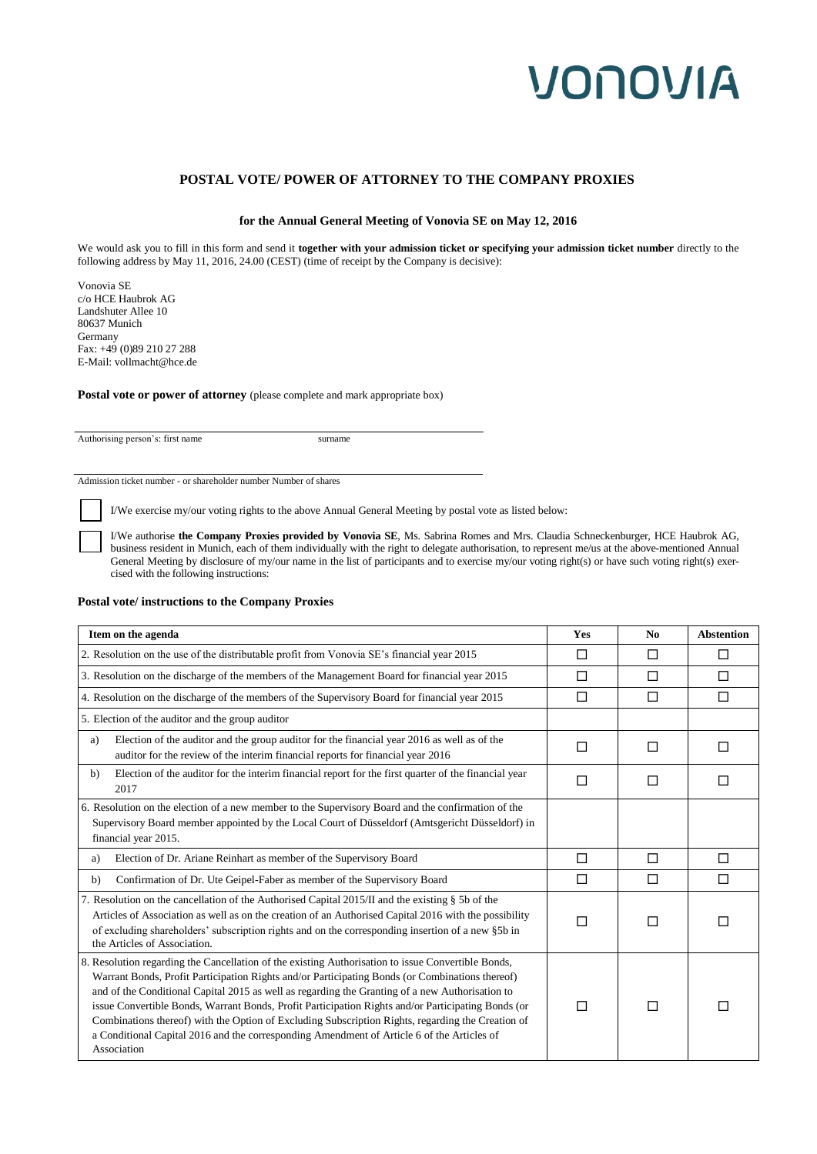# VONOVIA

### **POSTAL VOTE/ POWER OF ATTORNEY TO THE COMPANY PROXIES**

### **for the Annual General Meeting of Vonovia SE on May 12, 2016**

We would ask you to fill in this form and send it **together with your admission ticket or specifying your admission ticket number** directly to the following address by May 11, 2016, 24.00 (CEST) (time of receipt by the Company is decisive):

Vonovia SE c/o HCE Haubrok AG Landshuter Allee 10 80637 Munich Germany Fax: +49 (0)89 210 27 288 E-Mail: vollmacht@hce.de

**Postal vote or power of attorney** (please complete and mark appropriate box)

Authorising person's: first name surname surname

Admission ticket number - or shareholder number Number of shares

I/We exercise my/our voting rights to the above Annual General Meeting by postal vote as listed below:

I/We authorise **the Company Proxies provided by Vonovia SE**, Ms. Sabrina Romes and Mrs. Claudia Schneckenburger, HCE Haubrok AG, business resident in Munich, each of them individually with the right to delegate authorisation, to represent me/us at the above-mentioned Annual General Meeting by disclosure of my/our name in the list of participants and to exercise my/our voting right(s) or have such voting right(s) exercised with the following instructions:

### **Postal vote/ instructions to the Company Proxies**

| Item on the agenda                                                                                                                                                                                                                                                                                                                                                                                                                                                                                                                                                                                                               | <b>Yes</b> | N <sub>0</sub> | <b>Abstention</b> |  |
|----------------------------------------------------------------------------------------------------------------------------------------------------------------------------------------------------------------------------------------------------------------------------------------------------------------------------------------------------------------------------------------------------------------------------------------------------------------------------------------------------------------------------------------------------------------------------------------------------------------------------------|------------|----------------|-------------------|--|
| 2. Resolution on the use of the distributable profit from Vonovia SE's financial year 2015                                                                                                                                                                                                                                                                                                                                                                                                                                                                                                                                       |            | □              | П                 |  |
| 3. Resolution on the discharge of the members of the Management Board for financial year 2015                                                                                                                                                                                                                                                                                                                                                                                                                                                                                                                                    |            | П              | П                 |  |
| 4. Resolution on the discharge of the members of the Supervisory Board for financial year 2015                                                                                                                                                                                                                                                                                                                                                                                                                                                                                                                                   |            | П              | П                 |  |
| 5. Election of the auditor and the group auditor                                                                                                                                                                                                                                                                                                                                                                                                                                                                                                                                                                                 |            |                |                   |  |
| Election of the auditor and the group auditor for the financial year 2016 as well as of the<br>a)<br>auditor for the review of the interim financial reports for financial year 2016                                                                                                                                                                                                                                                                                                                                                                                                                                             | П          | П              | П                 |  |
| Election of the auditor for the interim financial report for the first quarter of the financial year<br>b)<br>2017                                                                                                                                                                                                                                                                                                                                                                                                                                                                                                               | П          | П              |                   |  |
| 6. Resolution on the election of a new member to the Supervisory Board and the confirmation of the<br>Supervisory Board member appointed by the Local Court of Düsseldorf (Amtsgericht Düsseldorf) in<br>financial year 2015.                                                                                                                                                                                                                                                                                                                                                                                                    |            |                |                   |  |
| Election of Dr. Ariane Reinhart as member of the Supervisory Board<br>a)                                                                                                                                                                                                                                                                                                                                                                                                                                                                                                                                                         | $\Box$     | $\Box$         | П                 |  |
| Confirmation of Dr. Ute Geipel-Faber as member of the Supervisory Board<br>b)                                                                                                                                                                                                                                                                                                                                                                                                                                                                                                                                                    | П          | П              | П                 |  |
| 7. Resolution on the cancellation of the Authorised Capital 2015/II and the existing § 5b of the<br>Articles of Association as well as on the creation of an Authorised Capital 2016 with the possibility<br>of excluding shareholders' subscription rights and on the corresponding insertion of a new §5b in<br>the Articles of Association.                                                                                                                                                                                                                                                                                   |            | П              |                   |  |
| 8. Resolution regarding the Cancellation of the existing Authorisation to issue Convertible Bonds,<br>Warrant Bonds, Profit Participation Rights and/or Participating Bonds (or Combinations thereof)<br>and of the Conditional Capital 2015 as well as regarding the Granting of a new Authorisation to<br>issue Convertible Bonds, Warrant Bonds, Profit Participation Rights and/or Participating Bonds (or<br>Combinations thereof) with the Option of Excluding Subscription Rights, regarding the Creation of<br>a Conditional Capital 2016 and the corresponding Amendment of Article 6 of the Articles of<br>Association | ΙI         | П              | Ш                 |  |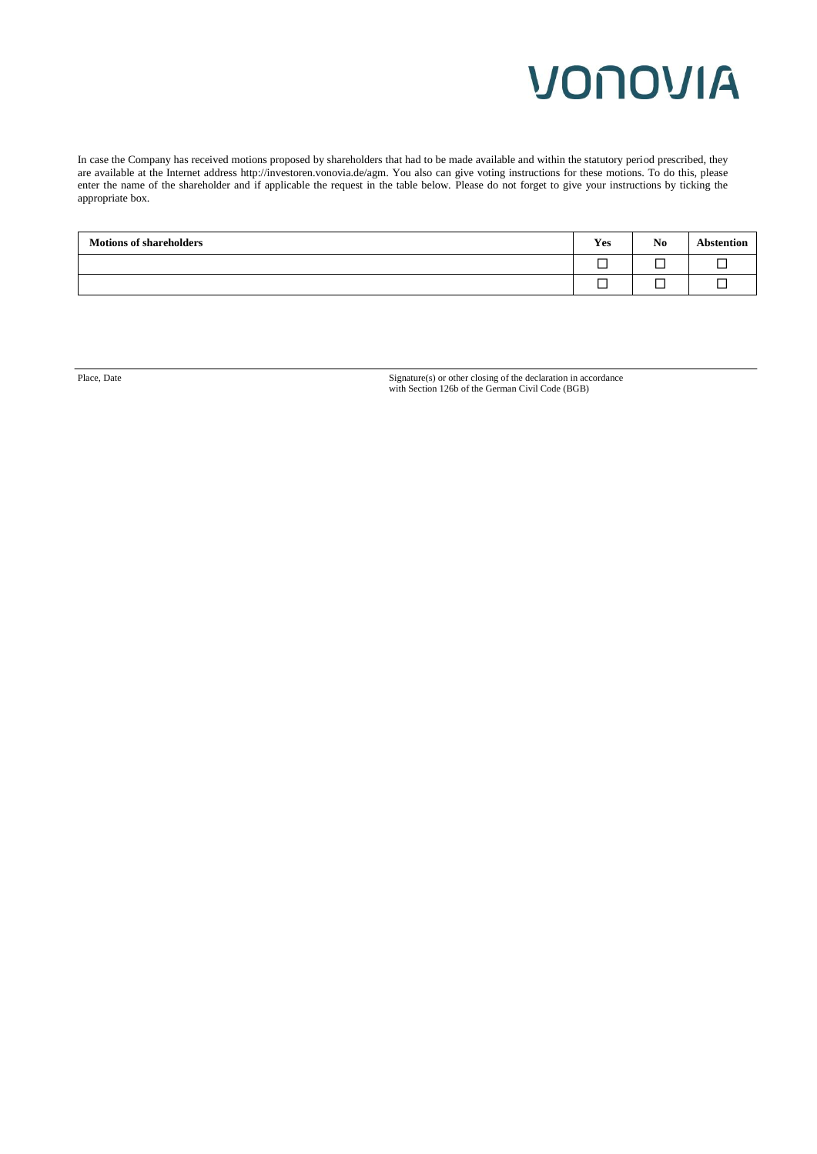# **VONOVIA**

In case the Company has received motions proposed by shareholders that had to be made available and within the statutory period prescribed, they are available at the Internet address http://investoren.vonovia.de/agm. You also can give voting instructions for these motions. To do this, please enter the name of the shareholder and if applicable the request in the table below. Please do not forget to give your instructions by ticking the appropriate box.

| <b>Motions of shareholders</b> | Yes | $\mathbf{H}$<br>No | <b>Abstention</b> |
|--------------------------------|-----|--------------------|-------------------|
|                                |     |                    |                   |
|                                |     |                    |                   |

Place, Date Signature(s) or other closing of the declaration in accordance with Section 126b of the German Civil Code (BGB)